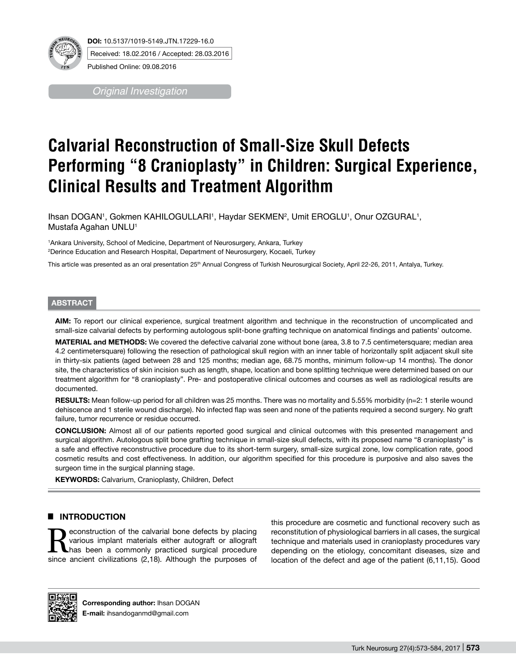

Published Online: 09.08.2016

*Original Investigation*

# **Calvarial Reconstruction of Small-Size Skull Defects Performing "8 Cranioplasty" in Children: Surgical Experience, Clinical Results and Treatment Algorithm**

Ihsan DOGAN<sup>1</sup>, Gokmen KAHILOGULLARI<sup>1</sup>, Haydar SEKMEN<sup>2</sup>, Umit EROGLU<sup>1</sup>, Onur OZGURAL<sup>1</sup>, Mustafa Agahan UNLU<sup>1</sup>

1 Ankara University, School of Medicine, Department of Neurosurgery, Ankara, Turkey 2 Derince Education and Research Hospital, Department of Neurosurgery, Kocaeli, Turkey

This article was presented as an oral presentation 25<sup>th</sup> Annual Congress of Turkish Neurosurgical Society, April 22-26, 2011, Antalya, Turkey.

## **ABSTRACT**

**AIm:** To report our clinical experience, surgical treatment algorithm and technique in the reconstruction of uncomplicated and small-size calvarial defects by performing autologous split-bone grafting technique on anatomical findings and patients' outcome.

**MaterIal and Methods:** We covered the defective calvarial zone without bone (area, 3.8 to 7.5 centimetersquare; median area 4.2 centimetersquare) following the resection of pathological skull region with an inner table of horizontally split adjacent skull site in thirty-six patients (aged between 28 and 125 months; median age, 68.75 months, minimum follow-up 14 months). The donor site, the characteristics of skin incision such as length, shape, location and bone splitting technique were determined based on our treatment algorithm for "8 cranioplasty". Pre- and postoperative clinical outcomes and courses as well as radiological results are documented.

**RESULTS:** Mean follow-up period for all children was 25 months. There was no mortality and 5.55% morbidity (n=2: 1 sterile wound dehiscence and 1 sterile wound discharge). No infected flap was seen and none of the patients required a second surgery. No graft failure, tumor recurrence or residue occurred.

**ConclusIon:** Almost all of our patients reported good surgical and clinical outcomes with this presented management and surgical algorithm. Autologous split bone grafting technique in small-size skull defects, with its proposed name "8 cranioplasty" is a safe and effective reconstructive procedure due to its short-term surgery, small-size surgical zone, low complication rate, good cosmetic results and cost effectiveness. In addition, our algorithm specified for this procedure is purposive and also saves the surgeon time in the surgical planning stage.

**KEYWORDS: Calvarium, Cranioplasty, Children, Defect** 

# **E INTRODUCTION**

Reconstruction of the calvarial bone defects by placing<br>various implant materials either autograft or allograft<br>has been a commonly practiced surgical procedure<br>since ancient civilizations (2.18). Although the purposes of various implant materials either autograft or allograft has been a commonly practiced surgical procedure since ancient civilizations (2,18). Although the purposes of this procedure are cosmetic and functional recovery such as reconstitution of physiological barriers in all cases, the surgical technique and materials used in cranioplasty procedures vary depending on the etiology, concomitant diseases, size and location of the defect and age of the patient (6,11,15). Good



**Corresponding author:** Ihsan DOGAN **E-mail:** ihsandoganmd@gmail.com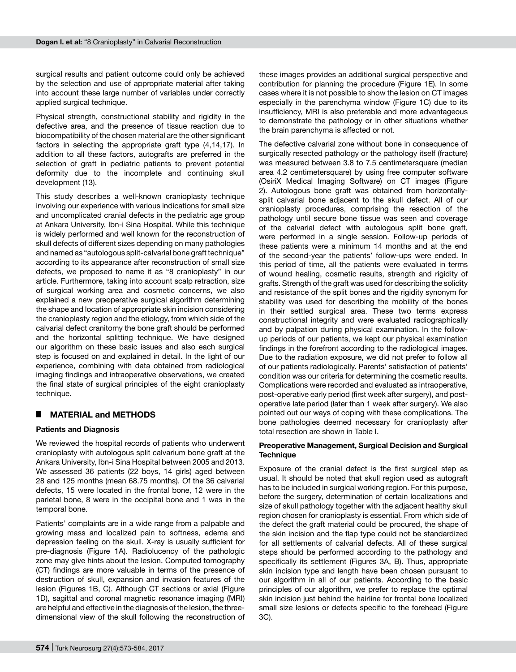surgical results and patient outcome could only be achieved by the selection and use of appropriate material after taking into account these large number of variables under correctly applied surgical technique.

Physical strength, constructional stability and rigidity in the defective area, and the presence of tissue reaction due to biocompatibility of the chosen material are the other significant factors in selecting the appropriate graft type (4,14,17). In addition to all these factors, autografts are preferred in the selection of graft in pediatric patients to prevent potential deformity due to the incomplete and continuing skull development (13).

This study describes a well-known cranioplasty technique involving our experience with various indications for small size and uncomplicated cranial defects in the pediatric age group at Ankara University, Ibn-i Sina Hospital. While this technique is widely performed and well known for the reconstruction of skull defects of different sizes depending on many pathologies and named as "autologous split-calvarial bone graft technique" according to its appearance after reconstruction of small size defects, we proposed to name it as "8 cranioplasty" in our article. Furthermore, taking into account scalp retraction, size of surgical working area and cosmetic concerns, we also explained a new preoperative surgical algorithm determining the shape and location of appropriate skin incision considering the cranioplasty region and the etiology, from which side of the calvarial defect cranitomy the bone graft should be performed and the horizontal splitting technique. We have designed our algorithm on these basic issues and also each surgical step is focused on and explained in detail. In the light of our experience, combining with data obtained from radiological imaging findings and intraoperative observations, we created the final state of surgical principles of the eight cranioplasty technique.

#### █ **MATERIAL and METHODS**

#### **Patients and Diagnosis**

We reviewed the hospital records of patients who underwent cranioplasty with autologous split calvarium bone graft at the Ankara University, Ibn-i Sina Hospital between 2005 and 2013. We assessed 36 patients (22 boys, 14 girls) aged between 28 and 125 months (mean 68.75 months). Of the 36 calvarial defects, 15 were located in the frontal bone, 12 were in the parietal bone, 8 were in the occipital bone and 1 was in the temporal bone.

Patients' complaints are in a wide range from a palpable and growing mass and localized pain to softness, edema and depression feeling on the skull. X-ray is usually sufficient for pre-diagnosis (Figure 1A). Radiolucency of the pathologic zone may give hints about the lesion. Computed tomography (CT) findings are more valuable in terms of the presence of destruction of skull, expansion and invasion features of the lesion (Figures 1B, C). Although CT sections or axial (Figure 1D), sagittal and coronal magnetic resonance imaging (MRI) are helpful and effective in the diagnosis of the lesion, the threedimensional view of the skull following the reconstruction of

these images provides an additional surgical perspective and contribution for planning the procedure (Figure 1E). In some cases where it is not possible to show the lesion on CT images especially in the parenchyma window (Figure 1C) due to its insufficiency, MRI is also preferable and more advantageous to demonstrate the pathology or in other situations whether the brain parenchyma is affected or not.

The defective calvarial zone without bone in consequence of surgically resected pathology or the pathology itself (fracture) was measured between 3.8 to 7.5 centimetersquare (median area 4.2 centimetersquare) by using free computer software (OsiriX Medical Imaging Software) on CT images (Figure 2). Autologous bone graft was obtained from horizontallysplit calvarial bone adjacent to the skull defect. All of our cranioplasty procedures, comprising the resection of the pathology until secure bone tissue was seen and coverage of the calvarial defect with autologous split bone graft, were performed in a single session. Follow-up periods of these patients were a minimum 14 months and at the end of the second-year the patients' follow-ups were ended. In this period of time, all the patients were evaluated in terms of wound healing, cosmetic results, strength and rigidity of grafts. Strength of the graft was used for describing the solidity and resistance of the split bones and the rigidity synonym for stability was used for describing the mobility of the bones in their settled surgical area. These two terms express constructional integrity and were evaluated radiographically and by palpation during physical examination. In the followup periods of our patients, we kept our physical examination findings in the forefront according to the radiological images. Due to the radiation exposure, we did not prefer to follow all of our patients radiologically. Parents' satisfaction of patients' condition was our criteria for determining the cosmetic results. Complications were recorded and evaluated as intraoperative, post-operative early period (first week after surgery), and postoperative late period (later than 1 week after surgery). We also pointed out our ways of coping with these complications. The bone pathologies deemed necessary for cranioplasty after total resection are shown in Table I.

#### **Preoperative Management, Surgical Decision and Surgical Technique**

Exposure of the cranial defect is the first surgical step as usual. It should be noted that skull region used as autograft has to be included in surgical working region. For this purpose, before the surgery, determination of certain localizations and size of skull pathology together with the adjacent healthy skull region chosen for cranioplasty is essential. From which side of the defect the graft material could be procured, the shape of the skin incision and the flap type could not be standardized for all settlements of calvarial defects. All of these surgical steps should be performed according to the pathology and specifically its settlement (Figures 3A, B). Thus, appropriate skin incision type and length have been chosen pursuant to our algorithm in all of our patients. According to the basic principles of our algorithm, we prefer to replace the optimal skin incision just behind the hairline for frontal bone localized small size lesions or defects specific to the forehead (Figure 3C).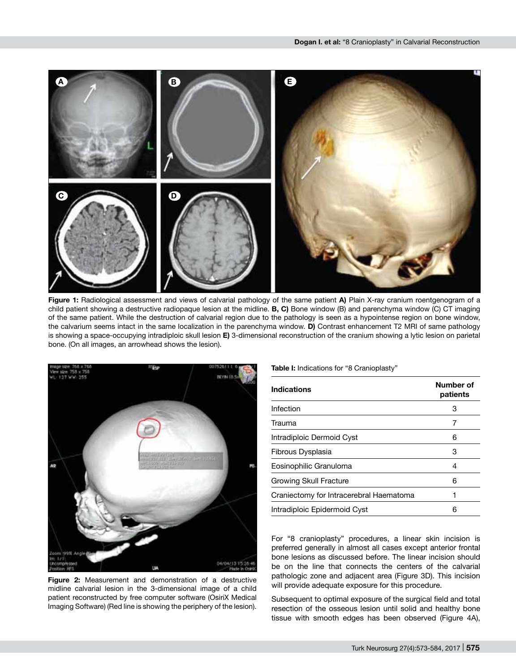

**Figure 1:** Radiological assessment and views of calvarial pathology of the same patient **A)** Plain X-ray cranium roentgenogram of a child patient showing a destructive radiopaque lesion at the midline. **B, C)** Bone window (B) and parenchyma window (C) CT imaging of the same patient. While the destruction of calvarial region due to the pathology is seen as a hypointense region on bone window, the calvarium seems intact in the same localization in the parenchyma window. **D)** Contrast enhancement T2 MRI of same pathology is showing a space-occupying intradiploic skull lesion **E)** 3-dimensional reconstruction of the cranium showing a lytic lesion on parietal bone. (On all images, an arrowhead shows the lesion).



**Figure 2:** Measurement and demonstration of a destructive midline calvarial lesion in the 3-dimensional image of a child patient reconstructed by free computer software (OsiriX Medical Imaging Software) (Red line is showing the periphery of the lesion).

**Table I:** Indications for "8 Cranioplasty"

| <b>Indications</b>                      | Number of<br>patients |
|-----------------------------------------|-----------------------|
| Infection                               | З                     |
| Trauma                                  |                       |
| Intradiploic Dermoid Cyst               | 6                     |
| Fibrous Dysplasia                       | 3                     |
| Eosinophilic Granuloma                  | 4                     |
| Growing Skull Fracture                  | 6                     |
| Craniectomy for Intracerebral Haematoma |                       |
| Intradiploic Epidermoid Cyst            | 6                     |

For "8 cranioplasty" procedures, a linear skin incision is preferred generally in almost all cases except anterior frontal bone lesions as discussed before. The linear incision should be on the line that connects the centers of the calvarial pathologic zone and adjacent area (Figure 3D). This incision will provide adequate exposure for this procedure.

Subsequent to optimal exposure of the surgical field and total resection of the osseous lesion until solid and healthy bone tissue with smooth edges has been observed (Figure 4A),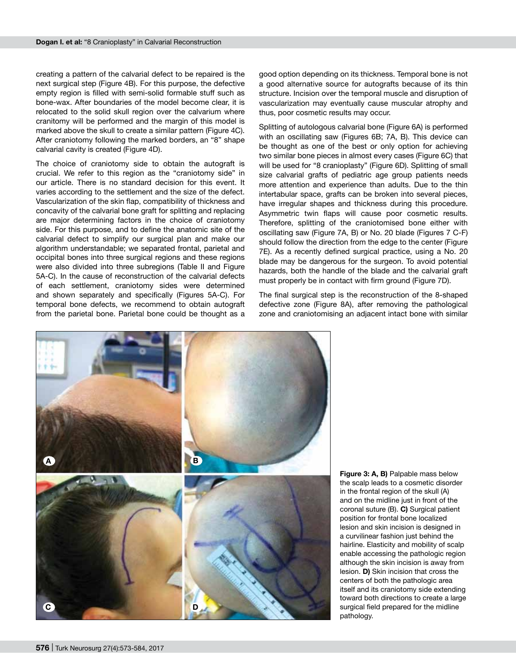creating a pattern of the calvarial defect to be repaired is the next surgical step (Figure 4B). For this purpose, the defective empty region is filled with semi-solid formable stuff such as bone-wax. After boundaries of the model become clear, it is relocated to the solid skull region over the calvarium where cranitomy will be performed and the margin of this model is marked above the skull to create a similar pattern (Figure 4C). After craniotomy following the marked borders, an "8" shape calvarial cavity is created (Figure 4D).

The choice of craniotomy side to obtain the autograft is crucial. We refer to this region as the "craniotomy side" in our article. There is no standard decision for this event. It varies according to the settlement and the size of the defect. Vascularization of the skin flap, compatibility of thickness and concavity of the calvarial bone graft for splitting and replacing are major determining factors in the choice of craniotomy side. For this purpose, and to define the anatomic site of the calvarial defect to simplify our surgical plan and make our algorithm understandable; we separated frontal, parietal and occipital bones into three surgical regions and these regions were also divided into three subregions (Table II and Figure 5A-C). In the cause of reconstruction of the calvarial defects of each settlement, craniotomy sides were determined and shown separately and specifically (Figures 5A-C). For temporal bone defects, we recommend to obtain autograft from the parietal bone. Parietal bone could be thought as a good option depending on its thickness. Temporal bone is not a good alternative source for autografts because of its thin structure. Incision over the temporal muscle and disruption of vascularization may eventually cause muscular atrophy and thus, poor cosmetic results may occur.

Splitting of autologous calvarial bone (Figure 6A) is performed with an oscillating saw (Figures 6B; 7A, B). This device can be thought as one of the best or only option for achieving two similar bone pieces in almost every cases (Figure 6C) that will be used for "8 cranioplasty" (Figure 6D). Splitting of small size calvarial grafts of pediatric age group patients needs more attention and experience than adults. Due to the thin intertabular space, grafts can be broken into several pieces, have irregular shapes and thickness during this procedure. Asymmetric twin flaps will cause poor cosmetic results. Therefore, splitting of the craniotomised bone either with oscillating saw (Figure 7A, B) or No. 20 blade (Figures 7 C-F) should follow the direction from the edge to the center (Figure 7E). As a recently defined surgical practice, using a No. 20 blade may be dangerous for the surgeon. To avoid potential hazards, both the handle of the blade and the calvarial graft must properly be in contact with firm ground (Figure 7D).

The final surgical step is the reconstruction of the 8-shaped defective zone (Figure 8A), after removing the pathological zone and craniotomising an adjacent intact bone with similar



**Figure 3: A, B)** Palpable mass below the scalp leads to a cosmetic disorder in the frontal region of the skull (A) and on the midline just in front of the coronal suture (B). **C)** Surgical patient position for frontal bone localized lesion and skin incision is designed in a curvilinear fashion just behind the hairline. Elasticity and mobility of scalp enable accessing the pathologic region although the skin incision is away from lesion. **D)** Skin incision that cross the centers of both the pathologic area itself and its craniotomy side extending toward both directions to create a large surgical field prepared for the midline pathology.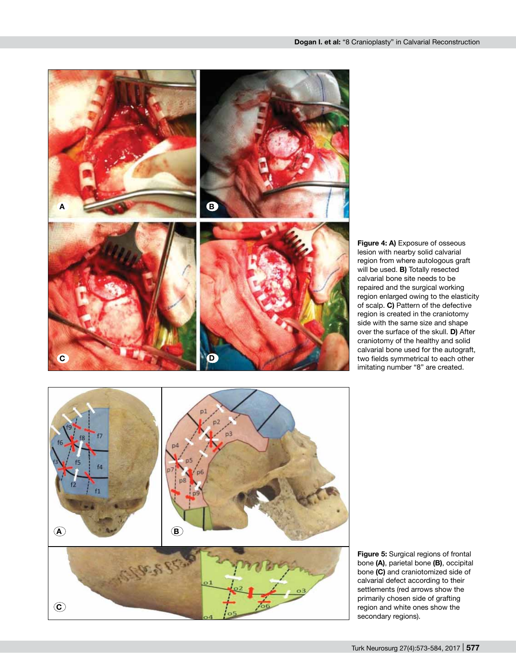

**Figure 4: A)** Exposure of osseous lesion with nearby solid calvarial region from where autologous graft will be used. **B)** Totally resected calvarial bone site needs to be repaired and the surgical working region enlarged owing to the elasticity of scalp. **C)** Pattern of the defective region is created in the craniotomy side with the same size and shape over the surface of the skull. **D)** After craniotomy of the healthy and solid calvarial bone used for the autograft, two fields symmetrical to each other imitating number "8" are created.



**Figure 5:** Surgical regions of frontal bone **(A)**, parietal bone **(B)**, occipital bone **(C)** and craniotomized side of calvarial defect according to their settlements (red arrows show the primarily chosen side of grafting region and white ones show the secondary regions).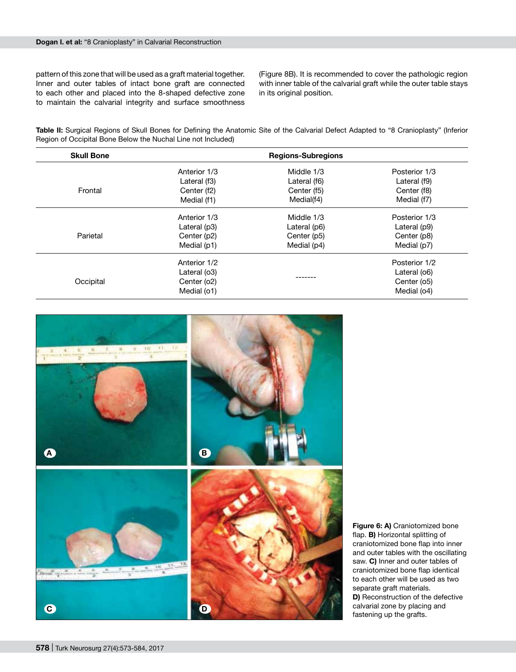pattern of this zone that will be used as a graft material together. Inner and outer tables of intact bone graft are connected to each other and placed into the 8-shaped defective zone to maintain the calvarial integrity and surface smoothness

(Figure 8B). It is recommended to cover the pathologic region with inner table of the calvarial graft while the outer table stays in its original position.

**Table II:** Surgical Regions of Skull Bones for Defining the Anatomic Site of the Calvarial Defect Adapted to "8 Cranioplasty" (Inferior Region of Occipital Bone Below the Nuchal Line not Included)

| <b>Skull Bone</b> |              | <b>Regions-Subregions</b> |               |
|-------------------|--------------|---------------------------|---------------|
|                   | Anterior 1/3 | Middle 1/3                | Posterior 1/3 |
|                   | Lateral (f3) | Lateral (f6)              | Lateral (f9)  |
| Frontal           | Center (f2)  | Center (f5)               | Center (f8)   |
|                   | Medial (f1)  | Medial(f4)                | Medial (f7)   |
|                   | Anterior 1/3 | Middle 1/3                | Posterior 1/3 |
|                   | Lateral (p3) | Lateral (p6)              | Lateral (p9)  |
| Parietal          | Center (p2)  | Center (p5)               | Center (p8)   |
|                   | Medial (p1)  | Medial (p4)               | Medial (p7)   |
|                   | Anterior 1/2 |                           | Posterior 1/2 |
|                   | Lateral (o3) |                           | Lateral (06)  |
| Occipital         | Center (o2)  |                           | Center (o5)   |
|                   | Medial (o1)  |                           | Medial (04)   |



**Figure 6: A)** Craniotomized bone flap. **B)** Horizontal splitting of craniotomized bone flap into inner and outer tables with the oscillating saw. **C)** Inner and outer tables of craniotomized bone flap identical to each other will be used as two separate graft materials. **D)** Reconstruction of the defective calvarial zone by placing and fastening up the grafts.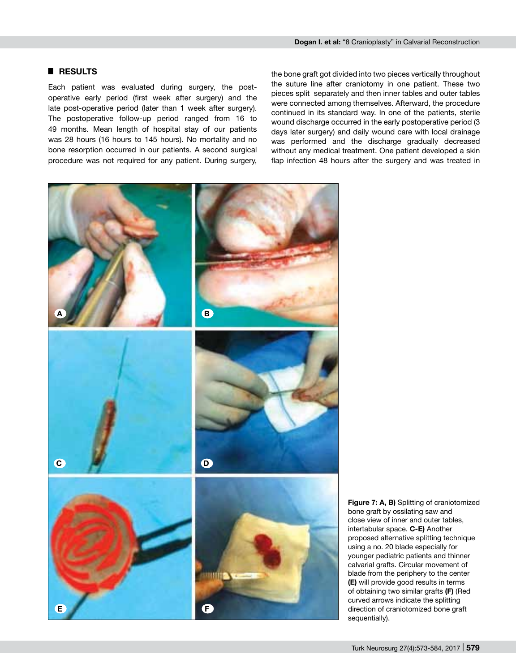# █ **RESULTS**

Each patient was evaluated during surgery, the postoperative early period (first week after surgery) and the late post-operative period (later than 1 week after surgery). The postoperative follow-up period ranged from 16 to 49 months. Mean length of hospital stay of our patients was 28 hours (16 hours to 145 hours). No mortality and no bone resorption occurred in our patients. A second surgical procedure was not required for any patient. During surgery, the bone graft got divided into two pieces vertically throughout the suture line after craniotomy in one patient. These two pieces split separately and then inner tables and outer tables were connected among themselves. Afterward, the procedure continued in its standard way. In one of the patients, sterile wound discharge occurred in the early postoperative period (3 days later surgery) and daily wound care with local drainage was performed and the discharge gradually decreased without any medical treatment. One patient developed a skin flap infection 48 hours after the surgery and was treated in



**Figure 7: A, B)** Splitting of craniotomized bone graft by ossilating saw and close view of inner and outer tables, intertabular space. **C-E)** Another proposed alternative splitting technique using a no. 20 blade especially for younger pediatric patients and thinner calvarial grafts. Circular movement of blade from the periphery to the center **(E)** will provide good results in terms of obtaining two similar grafts **(F)** (Red curved arrows indicate the splitting direction of craniotomized bone graft sequentially).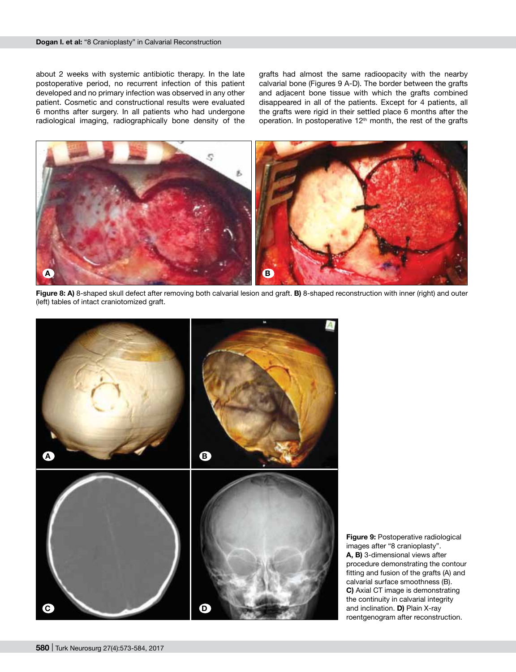about 2 weeks with systemic antibiotic therapy. In the late postoperative period, no recurrent infection of this patient developed and no primary infection was observed in any other patient. Cosmetic and constructional results were evaluated 6 months after surgery. In all patients who had undergone radiological imaging, radiographically bone density of the

grafts had almost the same radioopacity with the nearby calvarial bone (Figures 9 A-D). The border between the grafts and adjacent bone tissue with which the grafts combined disappeared in all of the patients. Except for 4 patients, all the grafts were rigid in their settled place 6 months after the operation. In postoperative 12<sup>th</sup> month, the rest of the grafts



**Figure 8: A)** 8-shaped skull defect after removing both calvarial lesion and graft. **B)** 8-shaped reconstruction with inner (right) and outer (left) tables of intact craniotomized graft.



**Figure 9:** Postoperative radiological images after "8 cranioplasty". **A, B)** 3-dimensional views after procedure demonstrating the contour fitting and fusion of the grafts (A) and calvarial surface smoothness (B). **C)** Axial CT image is demonstrating the continuity in calvarial integrity and inclination. **D)** Plain X-ray roentgenogram after reconstruction.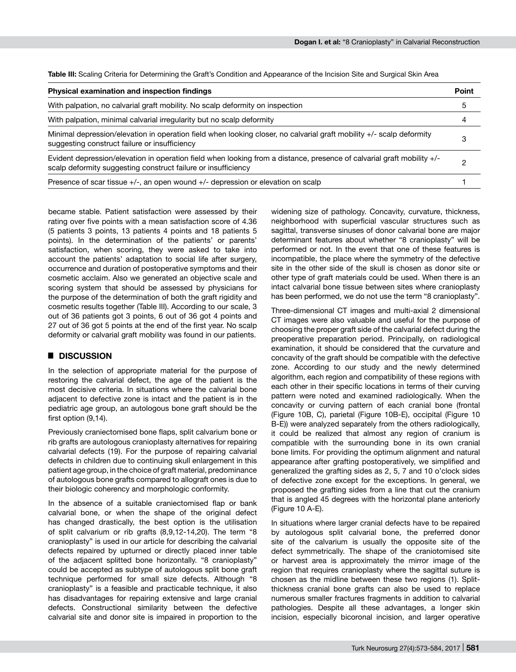**Table III:** Scaling Criteria for Determining the Graft's Condition and Appearance of the Incision Site and Surgical Skin Area

| <b>Physical examination and inspection findings</b>                                                                                                                                     |   |
|-----------------------------------------------------------------------------------------------------------------------------------------------------------------------------------------|---|
| With palpation, no calvarial graft mobility. No scalp deformity on inspection                                                                                                           | 5 |
| With palpation, minimal calvarial irregularity but no scalp deformity                                                                                                                   |   |
| Minimal depression/elevation in operation field when looking closer, no calvarial graft mobility +/- scalp deformity<br>suggesting construct failure or insufficiency                   |   |
| Evident depression/elevation in operation field when looking from a distance, presence of calvarial graft mobility +/-<br>scalp deformity suggesting construct failure or insufficiency | ŋ |
| Presence of scar tissue $+/-$ , an open wound $+/-$ depression or elevation on scalp                                                                                                    |   |

became stable. Patient satisfaction were assessed by their rating over five points with a mean satisfaction score of 4.36 (5 patients 3 points, 13 patients 4 points and 18 patients 5 points). In the determination of the patients' or parents' satisfaction, when scoring, they were asked to take into account the patients' adaptation to social life after surgery, occurrence and duration of postoperative symptoms and their cosmetic acclaim. Also we generated an objective scale and scoring system that should be assessed by physicians for the purpose of the determination of both the graft rigidity and cosmetic results together (Table III). According to our scale, 3 out of 36 patients got 3 points, 6 out of 36 got 4 points and 27 out of 36 got 5 points at the end of the first year. No scalp deformity or calvarial graft mobility was found in our patients.

# █ **DISCUSSION**

In the selection of appropriate material for the purpose of restoring the calvarial defect, the age of the patient is the most decisive criteria. In situations where the calvarial bone adjacent to defective zone is intact and the patient is in the pediatric age group, an autologous bone graft should be the first option (9,14).

Previously craniectomised bone flaps, split calvarium bone or rib grafts are autologous cranioplasty alternatives for repairing calvarial defects (19). For the purpose of repairing calvarial defects in children due to continuing skull enlargement in this patient age group, in the choice of graft material, predominance of autologous bone grafts compared to allograft ones is due to their biologic coherency and morphologic conformity.

In the absence of a suitable craniectomised flap or bank calvarial bone, or when the shape of the original defect has changed drastically, the best option is the utilisation of split calvarium or rib grafts (8,9,12-14,20). The term "8 cranioplasty" is used in our article for describing the calvarial defects repaired by upturned or directly placed inner table of the adjacent splitted bone horizontally. "8 cranioplasty" could be accepted as subtype of autologous split bone graft technique performed for small size defects. Although "8 cranioplasty" is a feasible and practicable technique, it also has disadvantages for repairing extensive and large cranial defects. Constructional similarity between the defective calvarial site and donor site is impaired in proportion to the widening size of pathology. Concavity, curvature, thickness, neighborhood with superficial vascular structures such as sagittal, transverse sinuses of donor calvarial bone are major determinant features about whether "8 cranioplasty" will be performed or not. In the event that one of these features is incompatible, the place where the symmetry of the defective site in the other side of the skull is chosen as donor site or other type of graft materials could be used. When there is an intact calvarial bone tissue between sites where cranioplasty has been performed, we do not use the term "8 cranioplasty".

Three-dimensional CT images and multi-axial 2 dimensional CT images were also valuable and useful for the purpose of choosing the proper graft side of the calvarial defect during the preoperative preparation period. Principally, on radiological examination, it should be considered that the curvature and concavity of the graft should be compatible with the defective zone. According to our study and the newly determined algorithm, each region and compatibility of these regions with each other in their specific locations in terms of their curving pattern were noted and examined radiologically. When the concavity or curving pattern of each cranial bone (frontal (Figure 10B, C), parietal (Figure 10B-E), occipital (Figure 10 B-E)) were analyzed separately from the others radiologically, it could be realized that almost any region of cranium is compatible with the surrounding bone in its own cranial bone limits. For providing the optimum alignment and natural appearance after grafting postoperatively, we simplified and generalized the grafting sides as 2, 5, 7 and 10 o'clock sides of defective zone except for the exceptions. In general, we proposed the grafting sides from a line that cut the cranium that is angled 45 degrees with the horizontal plane anteriorly (Figure 10 A-E).

In situations where larger cranial defects have to be repaired by autologous split calvarial bone, the preferred donor site of the calvarium is usually the opposite site of the defect symmetrically. The shape of the craniotomised site or harvest area is approximately the mirror image of the region that requires cranioplasty where the sagittal suture is chosen as the midline between these two regions (1). Splitthickness cranial bone grafts can also be used to replace numerous smaller fractures fragments in addition to calvarial pathologies. Despite all these advantages, a longer skin incision, especially bicoronal incision, and larger operative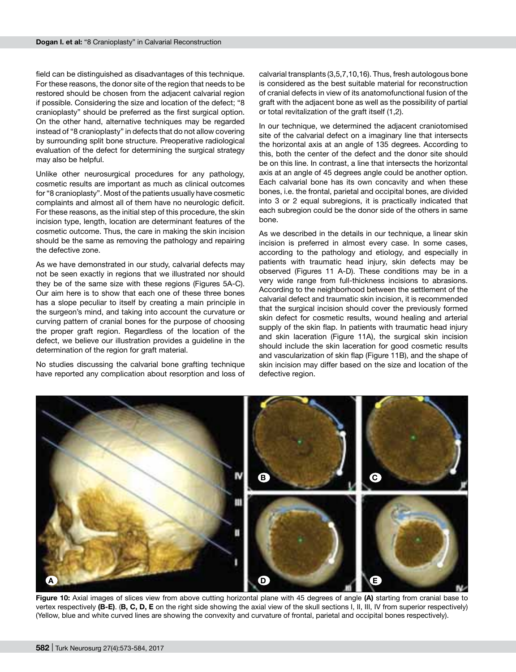field can be distinguished as disadvantages of this technique. For these reasons, the donor site of the region that needs to be restored should be chosen from the adjacent calvarial region if possible. Considering the size and location of the defect; "8 cranioplasty" should be preferred as the first surgical option. On the other hand, alternative techniques may be regarded instead of "8 cranioplasty" in defects that do not allow covering by surrounding split bone structure. Preoperative radiological evaluation of the defect for determining the surgical strategy may also be helpful.

Unlike other neurosurgical procedures for any pathology, cosmetic results are important as much as clinical outcomes for "8 cranioplasty". Most of the patients usually have cosmetic complaints and almost all of them have no neurologic deficit. For these reasons, as the initial step of this procedure, the skin incision type, length, location are determinant features of the cosmetic outcome. Thus, the care in making the skin incision should be the same as removing the pathology and repairing the defective zone.

As we have demonstrated in our study, calvarial defects may not be seen exactly in regions that we illustrated nor should they be of the same size with these regions (Figures 5A-C). Our aim here is to show that each one of these three bones has a slope peculiar to itself by creating a main principle in the surgeon's mind, and taking into account the curvature or curving pattern of cranial bones for the purpose of choosing the proper graft region. Regardless of the location of the defect, we believe our illustration provides a guideline in the determination of the region for graft material.

No studies discussing the calvarial bone grafting technique have reported any complication about resorption and loss of calvarial transplants (3,5,7,10,16). Thus, fresh autologous bone is considered as the best suitable material for reconstruction of cranial defects in view of its anatomofunctional fusion of the graft with the adjacent bone as well as the possibility of partial or total revitalization of the graft itself (1,2).

In our technique, we determined the adjacent craniotomised site of the calvarial defect on a imaginary line that intersects the horizontal axis at an angle of 135 degrees. According to this, both the center of the defect and the donor site should be on this line. In contrast, a line that intersects the horizontal axis at an angle of 45 degrees angle could be another option. Each calvarial bone has its own concavity and when these bones, i.e. the frontal, parietal and occipital bones, are divided into 3 or 2 equal subregions, it is practically indicated that each subregion could be the donor side of the others in same bone.

As we described in the details in our technique, a linear skin incision is preferred in almost every case. In some cases, according to the pathology and etiology, and especially in patients with traumatic head injury, skin defects may be observed (Figures 11 A-D). These conditions may be in a very wide range from full-thickness incisions to abrasions. According to the neighborhood between the settlement of the calvarial defect and traumatic skin incision, it is recommended that the surgical incision should cover the previously formed skin defect for cosmetic results, wound healing and arterial supply of the skin flap. In patients with traumatic head injury and skin laceration (Figure 11A), the surgical skin incision should include the skin laceration for good cosmetic results and vascularization of skin flap (Figure 11B), and the shape of skin incision may differ based on the size and location of the defective region.



**Figure 10:** Axial images of slices view from above cutting horizontal plane with 45 degrees of angle **(A)** starting from cranial base to vertex respectively **(B-E)**. (**B, C, D, E** on the right side showing the axial view of the skull sections I, II, III, IV from superior respectively) (Yellow, blue and white curved lines are showing the convexity and curvature of frontal, parietal and occipital bones respectively).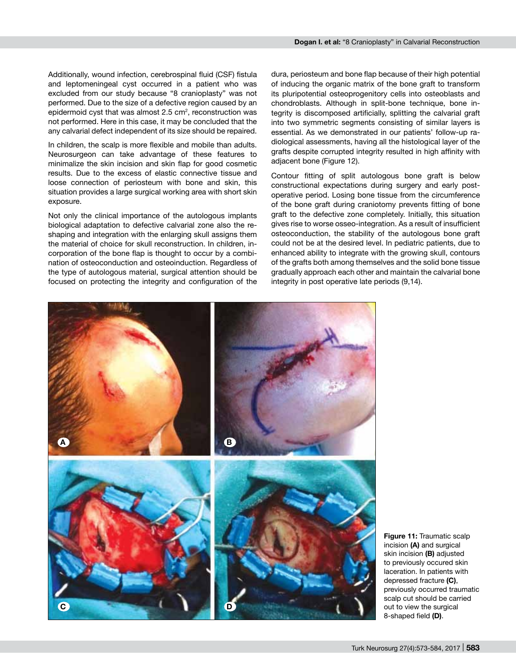Additionally, wound infection, cerebrospinal fluid (CSF) fistula and leptomeningeal cyst occurred in a patient who was excluded from our study because "8 cranioplasty" was not performed. Due to the size of a defective region caused by an epidermoid cyst that was almost 2.5 cm<sup>2</sup>, reconstruction was not performed. Here in this case, it may be concluded that the any calvarial defect independent of its size should be repaired.

In children, the scalp is more flexible and mobile than adults. Neurosurgeon can take advantage of these features to minimalize the skin incision and skin flap for good cosmetic results. Due to the excess of elastic connective tissue and loose connection of periosteum with bone and skin, this situation provides a large surgical working area with short skin exposure.

Not only the clinical importance of the autologous implants biological adaptation to defective calvarial zone also the reshaping and integration with the enlarging skull assigns them the material of choice for skull reconstruction. In children, incorporation of the bone flap is thought to occur by a combination of osteoconduction and osteoinduction. Regardless of the type of autologous material, surgical attention should be focused on protecting the integrity and configuration of the dura, periosteum and bone flap because of their high potential of inducing the organic matrix of the bone graft to transform its pluripotential osteoprogenitory cells into osteoblasts and chondroblasts. Although in split-bone technique, bone integrity is discomposed artificially, splitting the calvarial graft into two symmetric segments consisting of similar layers is essential. As we demonstrated in our patients' follow-up radiological assessments, having all the histological layer of the grafts despite corrupted integrity resulted in high affinity with adjacent bone (Figure 12).

Contour fitting of split autologous bone graft is below constructional expectations during surgery and early postoperative period. Losing bone tissue from the circumference of the bone graft during craniotomy prevents fitting of bone graft to the defective zone completely. Initially, this situation gives rise to worse osseo-integration. As a result of insufficient osteoconduction, the stability of the autologous bone graft could not be at the desired level. In pediatric patients, due to enhanced ability to integrate with the growing skull, contours of the grafts both among themselves and the solid bone tissue gradually approach each other and maintain the calvarial bone integrity in post operative late periods (9,14).



**Figure 11:** Traumatic scalp incision **(A)** and surgical skin incision **(B)** adjusted to previously occured skin laceration. In patients with depressed fracture **(C)**, previously occurred traumatic scalp cut should be carried out to view the surgical 8-shaped field **(D)**.